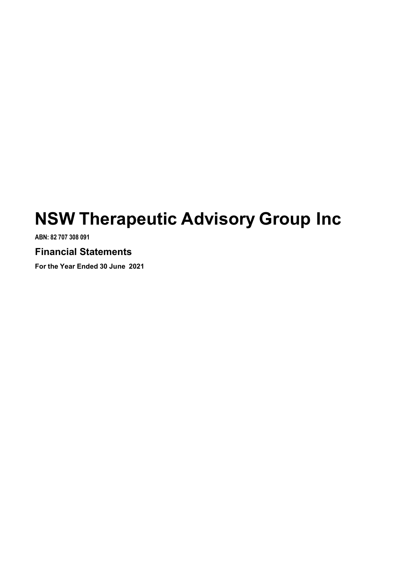# NSW Therapeutic Advisory Group Inc

ABN: 82 707 308 091

# Financial Statements

For the Year Ended 30 June 2021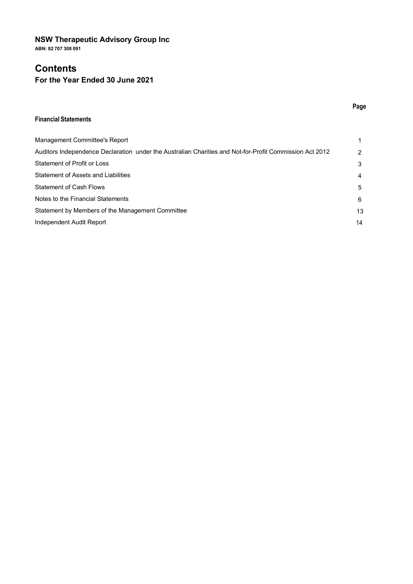# NSW Therapeutic Advisory Group Inc

ABN: 82 707 308 091

# **Contents**

# For the Year Ended 30 June 2021

#### Financial Statements

| Management Committee's Report                                                                           |    |
|---------------------------------------------------------------------------------------------------------|----|
| Auditors Independence Declaration under the Australian Charities and Not-for-Profit Commission Act 2012 |    |
| Statement of Profit or Loss                                                                             |    |
| Statement of Assets and Liabilities                                                                     | 4  |
| <b>Statement of Cash Flows</b>                                                                          | 5  |
| Notes to the Financial Statements                                                                       | 6  |
| Statement by Members of the Management Committee                                                        | 13 |
| Independent Audit Report                                                                                | 14 |

## Page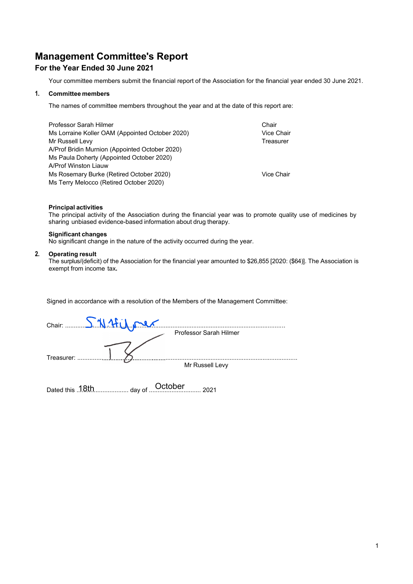Management Committee's Report<br>For the Year Ended 30 June 2021<br>Your committee members submit the financial report of the Association for the financial year ended 30 June 2021.<br>1. Committee members Management Committee's Report<br>For the Year Ended 30 June 2021<br>Your committee members submit the financial report of the Association for the financial year ended 30 June 2021.<br>1. Committee members<br>The names of committee mem **Committee's Report<br>The Year Ended 30 June 2021<br>Your committee members submit the financial report of the Association for the financial year ended 30 June 2021.<br>Committee members<br>The names of committee members throughout t** 

|    | <b>Management Committee's Report</b>                                                                                                                                                                             |            |  |
|----|------------------------------------------------------------------------------------------------------------------------------------------------------------------------------------------------------------------|------------|--|
|    | For the Year Ended 30 June 2021                                                                                                                                                                                  |            |  |
|    | Your committee members submit the financial report of the Association for the financial year ended 30 June 2021.                                                                                                 |            |  |
|    | 1. Committee members                                                                                                                                                                                             |            |  |
|    | The names of committee members throughout the year and at the date of this report are:                                                                                                                           |            |  |
|    | Professor Sarah Hilmer                                                                                                                                                                                           | Chair      |  |
|    | Ms Lorraine Koller OAM (Appointed October 2020)                                                                                                                                                                  | Vice Chair |  |
|    | Mr Russell Levy<br>A/Prof Bridin Murnion (Appointed October 2020)                                                                                                                                                | Treasurer  |  |
|    | Ms Paula Doherty (Appointed October 2020)<br>A/Prof Winston Liauw                                                                                                                                                |            |  |
|    | Ms Rosemary Burke (Retired October 2020)                                                                                                                                                                         | Vice Chair |  |
|    | Ms Terry Melocco (Retired October 2020)                                                                                                                                                                          |            |  |
|    | <b>Principal activities</b><br>The principal activity of the Association during the financial year was to promote quality use of medicines by<br>sharing unbiased evidence-based information about drug therapy. |            |  |
|    | <b>Significant changes</b><br>No significant change in the nature of the activity occurred during the year.                                                                                                      |            |  |
| 2. | <b>Operating result</b><br>The surplus/(deficit) of the Association for the financial year amounted to \$26,855 [2020: (\$64)]. The Association is<br>exempt from income tax.                                    |            |  |
|    |                                                                                                                                                                                                                  |            |  |
|    | Signed in accordance with a resolution of the Members of the Management Committee:                                                                                                                               |            |  |
|    |                                                                                                                                                                                                                  |            |  |

| $\frac{1}{2}$ . The main mainment $\frac{1}{2}$ , the point of $\frac{1}{2}$ or open. LoLo $\frac{1}{2}$<br>Ms Paula Doherty (Appointed October 2020)<br>A/Prof Winston Liauw |                                                                                                                         |
|-------------------------------------------------------------------------------------------------------------------------------------------------------------------------------|-------------------------------------------------------------------------------------------------------------------------|
| Ms Rosemary Burke (Retired October 2020)<br>Ms Terry Melocco (Retired October 2020)                                                                                           | <b>Vice Chair</b>                                                                                                       |
| <b>Principal activities</b><br>sharing unbiased evidence-based information about drug therapy.                                                                                | The principal activity of the Association during the financial year was to promote quality use of medicines by          |
| <b>Significant changes</b><br>No significant change in the nature of the activity occurred during the year.                                                                   |                                                                                                                         |
| <b>Operating result</b><br>exempt from income tax.                                                                                                                            | The surplus/(deficit) of the Association for the financial year amounted to \$26,855 [2020: (\$64)]. The Association is |
|                                                                                                                                                                               |                                                                                                                         |
| Signed in accordance with a resolution of the Members of the Management Committee:                                                                                            |                                                                                                                         |
| Chair: SN4 Lilo                                                                                                                                                               | Professor Sarah Hilmer                                                                                                  |
| Treasurer:                                                                                                                                                                    |                                                                                                                         |
|                                                                                                                                                                               | Mr Russell Levy                                                                                                         |
|                                                                                                                                                                               | 2021                                                                                                                    |
|                                                                                                                                                                               |                                                                                                                         |
|                                                                                                                                                                               |                                                                                                                         |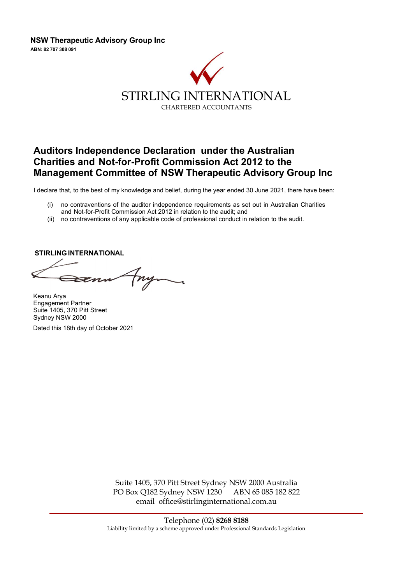

# AUDITOR CONTERNATION ALLET WE ARREST THE AUSTRALIAN CHARTERED ACCOUNTANTS<br>AUDITORS INDEpendence Declaration under the Australian<br>Charities and Not-for-Profit Commission Act 2012 to the<br>Management Committee of NSW Therapeut SENTIFITY CHARTER AND ALTER ATTON ALTER AND SURFACT AND RESPONSIVED A CHARTERED ACCOUNTANTS<br>CHARTERED ACCOUNTANTS<br>Auditors Independence Declaration under the Australian<br>Charities and Not-for-Profit Commission Act 2012 to t NSW Therapeutic Advisory Group Inc<br>
STIRLING INTERNATIONAL<br>
CHARTERD ACCOUNTANTS<br>
Auditors Independence Declaration under the Australian<br>
Charities and Not-for-Profit Commission Act 2012 to the<br>
Management Committee of NSW ISW Therapeutic Advisory Group Inc<br>
STIRLING INTERNATIONAL<br>
CHARTERED ACCOUNTANTS<br>
Auditors Independence Declaration under the Australian<br>
Charities and Not-for-Profit Commission Act 2012 to the<br>
Management Committee of NS STIRLING INTERNATIONAL<br>
CHARTERED ACCOUNTANTS<br>
CHARTERED ACCOUNTANTS<br>
CHARTERED ACCOUNTANTS<br> **Auditors Independence Declaration under the Australian**<br> **Charrities and Not-for-Profit Commission Act 2012 to the<br>
Management C**

- 
- 

Keanu Arya Engagement Partner Suite 1405, 370 Pitt Street Sydney NSW 2000

Dated this 18th day of October 2021

Suite 1405, 370 Pitt Street Sydney NSW 2000 Australia PO Box Q182 Sydney NSW 1230 ABN 65 085 182 822 email office@stirlinginternational.com.au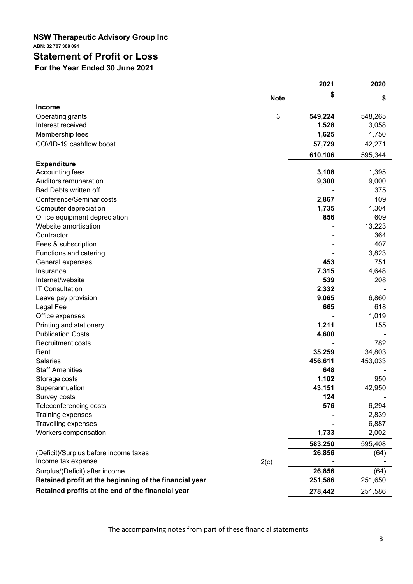## NSW Therapeutic Advisory Group Inc ABN: 82 707 308 091

# Statement of Profit or Loss

For the Year Ended 30 June 2021

|                                                        |             | 2021    | 2020    |
|--------------------------------------------------------|-------------|---------|---------|
|                                                        | <b>Note</b> | S       | \$      |
| <b>Income</b>                                          |             |         |         |
| Operating grants                                       | 3           | 549,224 | 548,265 |
| Interest received                                      |             | 1,528   | 3,058   |
| Membership fees                                        |             | 1,625   | 1,750   |
| COVID-19 cashflow boost                                |             | 57,729  | 42,271  |
|                                                        |             | 610,106 | 595,344 |
| <b>Expenditure</b>                                     |             |         |         |
| Accounting fees                                        |             | 3,108   | 1,395   |
| Auditors remuneration                                  |             | 9,300   | 9,000   |
| Bad Debts written off                                  |             |         | 375     |
| Conference/Seminar costs                               |             | 2,867   | 109     |
| Computer depreciation                                  |             | 1,735   | 1,304   |
| Office equipment depreciation                          |             | 856     | 609     |
| Website amortisation                                   |             |         | 13,223  |
| Contractor                                             |             |         | 364     |
| Fees & subscription                                    |             |         | 407     |
| Functions and catering                                 |             |         | 3,823   |
| General expenses                                       |             | 453     | 751     |
| Insurance                                              |             | 7,315   | 4,648   |
| Internet/website                                       |             | 539     | 208     |
| <b>IT Consultation</b>                                 |             | 2,332   |         |
| Leave pay provision                                    |             | 9,065   | 6,860   |
| Legal Fee                                              |             | 665     | 618     |
| Office expenses                                        |             |         | 1,019   |
| Printing and stationery                                |             | 1,211   | 155     |
| <b>Publication Costs</b>                               |             | 4,600   |         |
| <b>Recruitment costs</b>                               |             |         | 782     |
| Rent                                                   |             | 35,259  | 34,803  |
| Salaries                                               |             | 456,611 | 453,033 |
| <b>Staff Amenities</b>                                 |             | 648     |         |
| Storage costs                                          |             | 1,102   | 950     |
| Superannuation                                         |             | 43,151  | 42,950  |
| Survey costs                                           |             | 124     |         |
|                                                        |             | 576     |         |
| Teleconferencing costs                                 |             |         | 6,294   |
| Training expenses                                      |             |         | 2,839   |
| Travelling expenses                                    |             |         | 6,887   |
| Workers compensation                                   |             | 1,733   | 2,002   |
|                                                        |             | 583,250 | 595,408 |
| (Deficit)/Surplus before income taxes                  |             | 26,856  | (64)    |
| Income tax expense                                     | 2(c)        |         |         |
| Surplus/(Deficit) after income                         |             | 26,856  | (64)    |
| Retained profit at the beginning of the financial year |             | 251,586 | 251,650 |
| Retained profits at the end of the financial year      |             | 278,442 | 251,586 |

The accompanying notes from part of these financial statements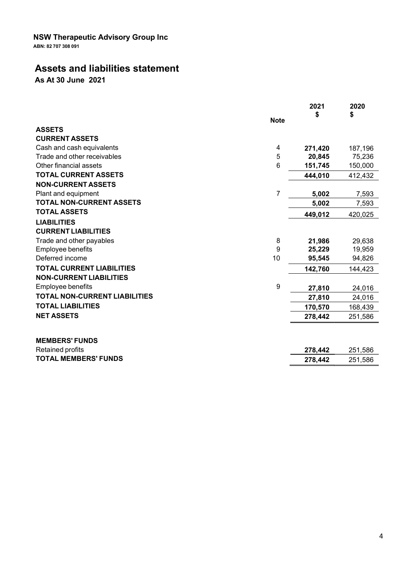#### NSW Therapeutic Advisory Group Inc ABN: 82 707 308 091

# Assets and liabilities statement

As At 30 June 2021

|                                                     | <b>Note</b>    | 2021    | 2020<br>S |
|-----------------------------------------------------|----------------|---------|-----------|
| <b>ASSETS</b>                                       |                |         |           |
| <b>CURRENT ASSETS</b>                               |                |         |           |
| Cash and cash equivalents                           | 4              | 271,420 | 187,196   |
| Trade and other receivables                         | 5              | 20,845  | 75,236    |
| Other financial assets                              | 6              | 151,745 | 150,000   |
| <b>TOTAL CURRENT ASSETS</b>                         |                | 444,010 | 412,432   |
| <b>NON-CURRENT ASSETS</b>                           |                |         |           |
| Plant and equipment                                 | $\overline{7}$ | 5,002   | 7,593     |
| <b>TOTAL NON-CURRENT ASSETS</b>                     |                | 5,002   | 7,593     |
| <b>TOTAL ASSETS</b>                                 |                | 449,012 | 420,025   |
| <b>LIABILITIES</b>                                  |                |         |           |
| <b>CURRENT LIABILITIES</b>                          |                |         |           |
| Trade and other payables                            | 8              | 21,986  | 29,638    |
| Employee benefits                                   | 9              | 25,229  | 19,959    |
| Deferred income                                     | 10             | 95,545  | 94,826    |
| <b>TOTAL CURRENT LIABILITIES</b>                    |                | 142,760 | 144,423   |
| <b>NON-CURRENT LIABILITIES</b><br>Employee benefits | 9              | 27,810  | 24,016    |
| <b>TOTAL NON-CURRENT LIABILITIES</b>                |                |         |           |
|                                                     |                | 27,810  | 24,016    |
| <b>TOTAL LIABILITIES</b>                            |                | 170,570 | 168,439   |
| <b>NET ASSETS</b>                                   |                | 278,442 | 251,586   |
| <b>MEMBERS' FUNDS</b>                               |                |         |           |
| Retained profits                                    |                | 278,442 | 251,586   |
| <b>TOTAL MEMBERS' FUNDS</b>                         |                | 278,442 | 251,586   |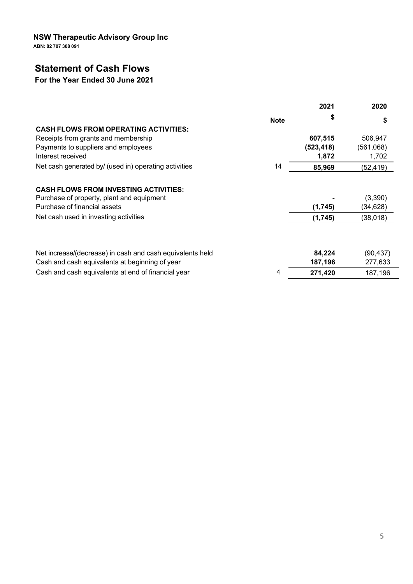NSW Therapeutic Advisory Group Inc

ABN: 82 707 308 091

# Statement of Cash Flows

# For the Year Ended 30 June 2021

|                                                           |             | 2021       | 2020      |
|-----------------------------------------------------------|-------------|------------|-----------|
|                                                           | <b>Note</b> | S          |           |
| <b>CASH FLOWS FROM OPERATING ACTIVITIES:</b>              |             |            |           |
| Receipts from grants and membership                       |             | 607,515    | 506,947   |
| Payments to suppliers and employees                       |             | (523, 418) | (561,068) |
| Interest received                                         |             | 1,872      | 1,702     |
| Net cash generated by/ (used in) operating activities     | 14          | 85,969     | (52, 419) |
| <b>CASH FLOWS FROM INVESTING ACTIVITIES:</b>              |             |            |           |
| Purchase of property, plant and equipment                 |             |            | (3,390)   |
| Purchase of financial assets                              |             | (1,745)    | (34,628)  |
| Net cash used in investing activities                     |             | (1,745)    | (38,018)  |
| Net increase/(decrease) in cash and cash equivalents held |             | 84,224     | (90, 437) |
| Cash and cash equivalents at beginning of year            |             | 187,196    | 277,633   |
| Cash and cash equivalents at end of financial year        | 4           | 271,420    | 187,196   |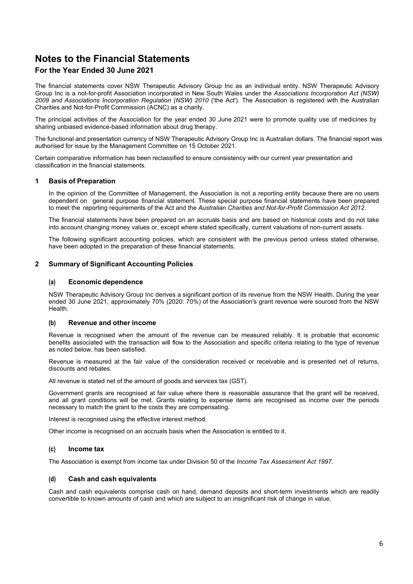## For the Year Ended 30 June 2021

The financial statements cover NSW Therapeutic Advisory Group Inc as an individual entity. NSW Therapeutic Advisory Group Inc is a not-for-profit Association incorporated in New South Wales under the Associations Incorporation Act (NSW) 2009 and Associations Incorporation Regulation (NSW) 2010 ('the Act'). The Association is registered with the Australian Charities and Not-for-Profit Commission (ACNC) as a charity.

The principal activities of the Association for the year ended 30 June 2021 were to promote quality use of medicines by sharing unbiased evidence-based information about drug therapy.

The functional and presentation currency of NSW Therapeutic Advisory Group Inc is Australian dollars. The financial report was authorised for issue by the Management Committee on 15 October 2021.

Certain comparative information has been reclassified to ensure consistency with our current year presentation and classification in the financial statements.

#### 1 Basis of Preparation

In the opinion of the Committee of Management, the Association is not a reporting entity because there are no users dependent on general purpose financial statement. These special purpose financial statements have been prepared to meet the reporting requirements of the Act and the Australian Charities and Not-for-Profit Commission Act 2012.<br>The financial statements have been prepared on an accruals basis and are based on historical costs and do n

into account changing money values or, except where stated specifically, current valuations of non-current assets.

The following significant accounting policies, which are consistent with the previous period unless stated otherwise, have been adopted in the preparation of these financial statements.

#### 2 Summary of Significant Accounting Policies

#### (a) Economic dependence

NSW Therapeutic Advisory Group Inc derives a significant portion of its revenue from the NSW Health. During the year ended 30 June 2021, approximately 70% (2020: 70%) of the Association's grant revenue were sourced from the NSW Health.

#### (b) Revenue and other income

Revenue is recognised when the amount of the revenue can be measured reliably. It is probable that economic benefits associated with the transaction will flow to the Association and specific criteria relating to the type of revenue as noted below, has been satisfied.

Revenue is measured at the fair value of the consideration received or receivable and is presented net of returns, discounts and rebates.

All revenue is stated net of the amount of goods and services tax (GST).

Government grants are recognised at fair value where there is reasonable assurance that the grant will be received, and all grant conditions will be met. Grants relating to expense items are recognised as income over the periods necessary to match the grant to the costs they are compensating.

Interest is recognised using the effective interest method.

Other income is recognised on an accruals basis when the Association is entitled to it.

#### (c) Income tax

The Association is exempt from income tax under Division 50 of the Income Tax Assessment Act 1997.

#### (d) Cash and cash equivalents

Cash and cash equivalents comprise cash on hand, demand deposits and short-term investments which are readily convertible to known amounts of cash and which are subject to an insignificant risk of change in value.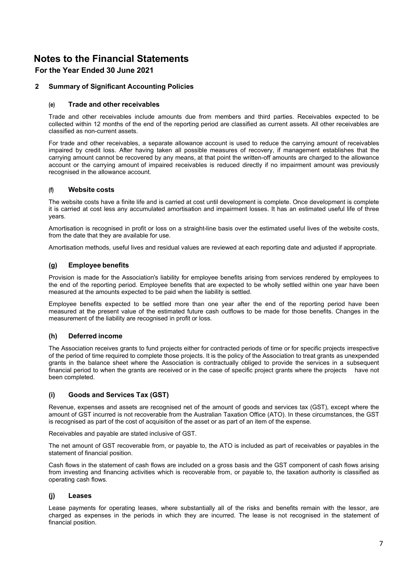## For the Year Ended 30 June 2021

#### 2 Summary of Significant Accounting Policies

#### (e) Trade and other receivables

Trade and other receivables include amounts due from members and third parties. Receivables expected to be collected within 12 months of the end of the reporting period are classified as current assets. All other receivables are classified as non-current assets.

For trade and other receivables, a separate allowance account is used to reduce the carrying amount of receivables impaired by credit loss. After having taken all possible measures of recovery, if management establishes that the carrying amount cannot be recovered by any means, at that point the written-off amounts are charged to the allowance account or the carrying amount of impaired receivables is reduced directly if no impairment amount was previously recognised in the allowance account.

#### (f) Website costs

The website costs have a finite life and is carried at cost until development is complete. Once development is complete it is carried at cost less any accumulated amortisation and impairment losses. It has an estimated useful life of three years.

Amortisation is recognised in profit or loss on a straight-line basis over the estimated useful lives of the website costs, from the date that they are available for use.

Amortisation methods, useful lives and residual values are reviewed at each reporting date and adjusted if appropriate.

#### (g) Employee benefits

Provision is made for the Association's liability for employee benefits arising from services rendered by employees to the end of the reporting period. Employee benefits that are expected to be wholly settled within one year have been measured at the amounts expected to be paid when the liability is settled.

Employee benefits expected to be settled more than one year after the end of the reporting period have been measured at the present value of the estimated future cash outflows to be made for those benefits. Changes in the measurement of the liability are recognised in profit or loss.

#### (h) Deferred income

The Association receives grants to fund projects either for contracted periods of time or for specific projects irrespective of the period of time required to complete those projects. It is the policy of the Association to treat grants as unexpended grants in the balance sheet where the Association is contractually obliged to provide the services in a subsequent financial period to when the grants are received or in the case of specific project grants where the projects have not been completed.

#### (i) Goods and Services Tax (GST)

Revenue, expenses and assets are recognised net of the amount of goods and services tax (GST), except where the amount of GST incurred is not recoverable from the Australian Taxation Office (ATO). In these circumstances, the GST is recognised as part of the cost of acquisition of the asset or as part of an item of the expense.

Receivables and payable are stated inclusive of GST.

The net amount of GST recoverable from, or payable to, the ATO is included as part of receivables or payables in the statement of financial position.

Cash flows in the statement of cash flows are included on a gross basis and the GST component of cash flows arising from investing and financing activities which is recoverable from, or payable to, the taxation authority is classified as operating cash flows.

#### (j) Leases

Lease payments for operating leases, where substantially all of the risks and benefits remain with the lessor, are charged as expenses in the periods in which they are incurred. The lease is not recognised in the statement of financial position.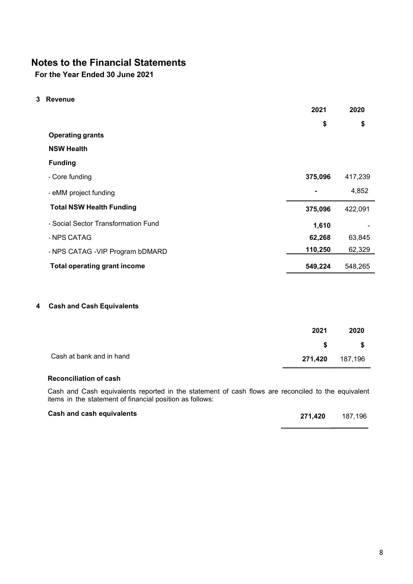For the Year Ended 30 June 2021

3 Revenue

|                                     | 2021           | 2020    |
|-------------------------------------|----------------|---------|
|                                     | \$             | \$      |
| <b>Operating grants</b>             |                |         |
| <b>NSW Health</b>                   |                |         |
| <b>Funding</b>                      |                |         |
| - Core funding                      | 375,096        | 417,239 |
| - eMM project funding               | $\blacksquare$ | 4,852   |
| <b>Total NSW Health Funding</b>     | 375,096        | 422,091 |
| - Social Sector Transformation Fund | 1,610          |         |
| - NPS CATAG                         | 62,268         | 63,845  |
| - NPS CATAG - VIP Program bDMARD    | 110,250        | 62,329  |
| <b>Total operating grant income</b> | 549,224        | 548,265 |
|                                     |                |         |

## 4 Cash and Cash Equivalents

|                          | 2021    | 2020    |
|--------------------------|---------|---------|
|                          | S.      | - \$    |
| Cash at bank and in hand | 271,420 | 187,196 |

## Reconciliation of cash

Cash and Cash equivalents reported in the statement of cash flows are reconciled to the equivalent items in the statement of financial position as follows:

| Cash and cash equivalents | 271.420 | 187,196 |
|---------------------------|---------|---------|
|                           |         |         |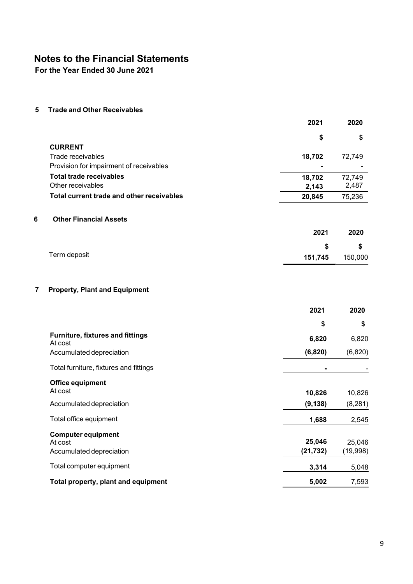For the Year Ended 30 June 2021

5 Trade and Other Receivables

|   |                                                    | 2021           | 2020     |
|---|----------------------------------------------------|----------------|----------|
|   |                                                    | \$             | \$       |
|   | <b>CURRENT</b>                                     |                |          |
|   | Trade receivables                                  | 18,702         | 72,749   |
|   | Provision for impairment of receivables            |                |          |
|   | <b>Total trade receivables</b>                     | 18,702         | 72,749   |
|   | Other receivables                                  | 2,143          | 2,487    |
|   | Total current trade and other receivables          | 20,845         | 75,236   |
| 6 | <b>Other Financial Assets</b>                      |                |          |
|   |                                                    | 2021           | 2020     |
|   |                                                    | \$             | \$       |
|   | Term deposit                                       | 151,745        | 150,000  |
|   |                                                    |                |          |
| 7 | <b>Property, Plant and Equipment</b>               |                |          |
|   |                                                    | 2021           | 2020     |
|   |                                                    | \$             | \$       |
|   | <b>Furniture, fixtures and fittings</b><br>At cost | 6,820          | 6,820    |
|   | Accumulated depreciation                           | (6, 820)       | (6,820)  |
|   | Total furniture, fixtures and fittings             | $\blacksquare$ |          |
|   | <b>Office equipment</b>                            |                |          |
|   | At cost                                            | 10,826         | 10,826   |
|   | Accumulated depreciation                           | (9, 138)       | (8, 281) |
|   | Total office equipment                             | 1,688          | 2,545    |
|   | <b>Computer equipment</b>                          |                |          |
|   | At cost                                            | 25,046         | 25,046   |
|   | Accumulated depreciation                           | (21, 732)      | (19,998) |
|   | Total computer equipment                           | 3,314          | 5,048    |
|   | Total property, plant and equipment                | 5,002          | 7,593    |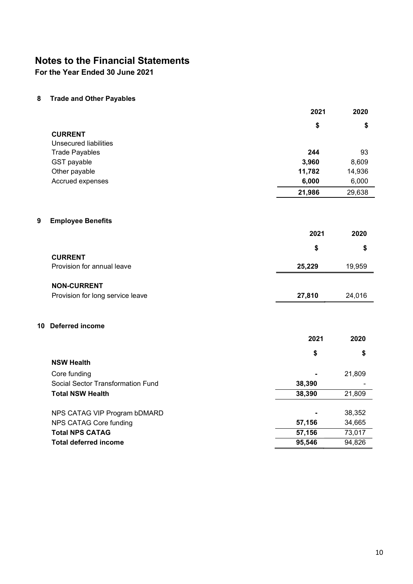For the Year Ended 30 June 2021

8 Trade and Other Payables

|   |                                   | 2021   | 2020   |
|---|-----------------------------------|--------|--------|
|   |                                   | \$     | \$     |
|   | <b>CURRENT</b>                    |        |        |
|   | <b>Unsecured liabilities</b>      |        |        |
|   | <b>Trade Payables</b>             | 244    | 93     |
|   | GST payable                       | 3,960  | 8,609  |
|   | Other payable                     | 11,782 | 14,936 |
|   | Accrued expenses                  | 6,000  | 6,000  |
|   |                                   | 21,986 | 29,638 |
| 9 | <b>Employee Benefits</b>          |        |        |
|   |                                   | 2021   | 2020   |
|   |                                   | \$     | \$     |
|   | <b>CURRENT</b>                    |        |        |
|   | Provision for annual leave        | 25,229 | 19,959 |
|   | <b>NON-CURRENT</b>                |        |        |
|   | Provision for long service leave  | 27,810 | 24,016 |
|   | 10 Deferred income                |        |        |
|   |                                   | 2021   | 2020   |
|   |                                   | \$     | \$     |
|   | <b>NSW Health</b>                 |        |        |
|   | Core funding                      |        | 21,809 |
|   | Social Sector Transformation Fund | 38,390 |        |
|   | <b>Total NSW Health</b>           | 38,390 | 21,809 |
|   |                                   |        |        |
|   | NPS CATAG VIP Program bDMARD      |        | 38,352 |
|   | NPS CATAG Core funding            | 57,156 | 34,665 |
|   | <b>Total NPS CATAG</b>            | 57,156 | 73,017 |
|   | <b>Total deferred income</b>      | 95,546 | 94,826 |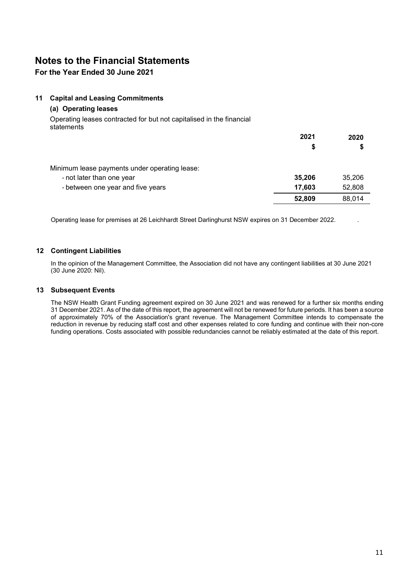## For the Year Ended 30 June 2021

#### 11 Capital and Leasing Commitments

#### (a) Operating leases

Operating leases contracted for but not capitalised in the financial statements

|                                               | 2021   | 2020   |
|-----------------------------------------------|--------|--------|
|                                               | S      | \$     |
| Minimum lease payments under operating lease: |        |        |
| - not later than one year                     | 35,206 | 35,206 |
| - between one year and five years             | 17,603 | 52,808 |
|                                               | 52,809 | 88,014 |

Operating lease for premises at 26 Leichhardt Street Darlinghurst NSW expires on 31 December 2022. .

#### 12 Contingent Liabilities

In the opinion of the Management Committee, the Association did not have any contingent liabilities at 30 June 2021 (30 June 2020: Nil).

#### 13 Subsequent Events

The NSW Health Grant Funding agreement expired on 30 June 2021 and was renewed for a further six months ending 31 December 2021. As of the date of this report, the agreement will not be renewed for future periods. It has been a source of approximately 70% of the Association's grant revenue. The Management Committee intends to compensate the reduction in revenue by reducing staff cost and other expenses related to core funding and continue with their non-core funding operations. Costs associated with possible redundancies cannot be reliably estimated at the date of this report.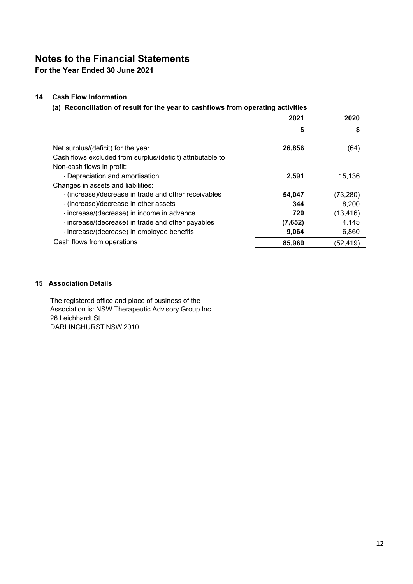For the Year Ended 30 June 2021

## 14 Cash Flow Information

(a) Reconciliation of result for the year to cashflows from operating activities

| \$<br>Φ<br>Net surplus/(deficit) for the year<br>26,856<br>(64)<br>Cash flows excluded from surplus/(deficit) attributable to<br>Non-cash flows in profit:<br>- Depreciation and amortisation<br>2,591<br>15,136<br>Changes in assets and liabilities:<br>- (increase)/decrease in trade and other receivables<br>54,047<br>(73, 280)<br>- (increase)/decrease in other assets<br>8,200<br>344<br>- increase/(decrease) in income in advance<br>(13, 416)<br>720<br>- increase/(decrease) in trade and other payables<br>4,145<br>(7,652)<br>- increase/(decrease) in employee benefits<br>6,860<br>9,064<br>Cash flows from operations<br>85,969<br>(52, 419) | 2021 | 2020 |
|----------------------------------------------------------------------------------------------------------------------------------------------------------------------------------------------------------------------------------------------------------------------------------------------------------------------------------------------------------------------------------------------------------------------------------------------------------------------------------------------------------------------------------------------------------------------------------------------------------------------------------------------------------------|------|------|
|                                                                                                                                                                                                                                                                                                                                                                                                                                                                                                                                                                                                                                                                |      |      |
|                                                                                                                                                                                                                                                                                                                                                                                                                                                                                                                                                                                                                                                                |      |      |
|                                                                                                                                                                                                                                                                                                                                                                                                                                                                                                                                                                                                                                                                |      |      |
|                                                                                                                                                                                                                                                                                                                                                                                                                                                                                                                                                                                                                                                                |      |      |
|                                                                                                                                                                                                                                                                                                                                                                                                                                                                                                                                                                                                                                                                |      |      |
|                                                                                                                                                                                                                                                                                                                                                                                                                                                                                                                                                                                                                                                                |      |      |
|                                                                                                                                                                                                                                                                                                                                                                                                                                                                                                                                                                                                                                                                |      |      |
|                                                                                                                                                                                                                                                                                                                                                                                                                                                                                                                                                                                                                                                                |      |      |
|                                                                                                                                                                                                                                                                                                                                                                                                                                                                                                                                                                                                                                                                |      |      |
|                                                                                                                                                                                                                                                                                                                                                                                                                                                                                                                                                                                                                                                                |      |      |
|                                                                                                                                                                                                                                                                                                                                                                                                                                                                                                                                                                                                                                                                |      |      |
|                                                                                                                                                                                                                                                                                                                                                                                                                                                                                                                                                                                                                                                                |      |      |

## 15 Association Details

The registered office and place of business of the Association is: NSW Therapeutic Advisory Group Inc 26 Leichhardt St DARLINGHURST NSW 2010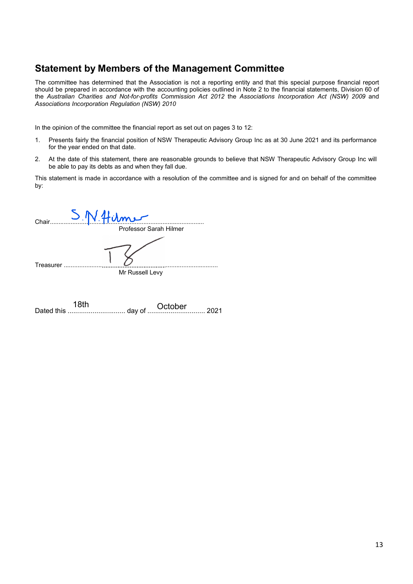**Statement by Members of the Management Committee**<br>The committee has determined that the Association is not a reporting entity and that this special purpose financial report<br>should be prepared in accordance with the accoun **Statement by Members of the Management Committee**<br>The committee has determined that the Association is not a reporting entity and that this special purpose financial report<br>should be prepared in accordance with the accoun **Statement by Members of the Management Committee**<br>The committee has determined that the Association is not a reporting entity and that this special purpose financial report<br>should be prepared in accordance with the accoun **Statement by Members of the Management Committee**<br>The committee has determined that the Association is not a reporting entity and that this special purpose financial report<br>should be prepared in accordance with the accoun **Statement by Members of the Management Committee**<br>The committee has determined that the Association is not a reporting entity and that this special purpose financial report<br>should be prepared in accordance with the accoun **Statement by Members of the Management Committee**<br>The committee has determined that the Association is not a reporting entity and that this special purpose financial report<br>should be prepared in accordance with the accoun **Statement by Members of the Management Committee**<br>The committee has determined that the Association is not a reporting entity and that this special purpose financial report<br>should be prepared in accordance with the accoun **Statement by Members of the Management Committee**<br>The committee has determined that the Association is not a reporting entity and that this special purpose financial report<br>should be prepared in acordance with the account **Statement by Members of the Management Committee**<br>The committee has determined that the Association is not a reporting entity and that this special purpose financial report<br>the Australian Charles and Not-for-profits Comm **Solution: Committee**<br>
Moreover the Management Committee<br>
and that the Association is not a reporting entity and that this special purpose financial repara-<br>
Mortor-profits Commission Act 2012 the Associations Incorporat

- for the year ended on that date.
- be able to pay its debts as and when they fall due.

|       | in the opinion of the committee the imamolal report as set out on pages o to TZ.                                                                                           |
|-------|----------------------------------------------------------------------------------------------------------------------------------------------------------------------------|
| 1.    | Presents fairly the financial position of NSW Therapeutic Advisory Group Inc as at 30 June 2021 and its performance<br>for the year ended on that date.                    |
| 2.    | At the date of this statement, there are reasonable grounds to believe that NSW Therapeutic Advisory Group Inc will<br>be able to pay its debts as and when they fall due. |
| by:   | This statement is made in accordance with a resolution of the committee and is signed for and on behalf of the committee                                                   |
| Chair | Professor Sarah Hilmer                                                                                                                                                     |
|       | Treasurer<br>Mr Russell Levy                                                                                                                                               |
|       | 18th<br>October<br>топт<br>day of<br>2021<br>Dated this                                                                                                                    |
|       |                                                                                                                                                                            |
|       |                                                                                                                                                                            |

| 18th | October |  |
|------|---------|--|
|      |         |  |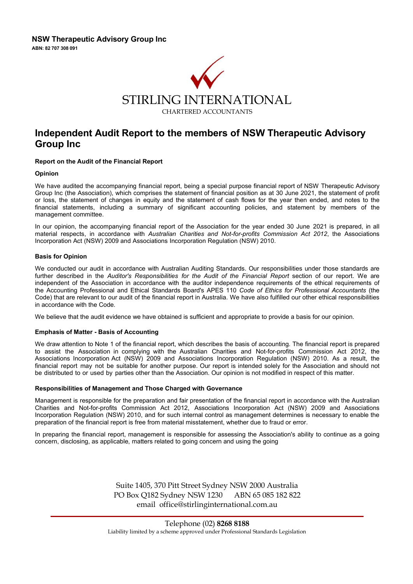

# Independent Audit Report to the members of NSW Therapeutic Advisory Group Inc

#### Report on the Audit of the Financial Report

#### Opinion

We have audited the accompanying financial report, being a special purpose financial report of NSW Therapeutic Advisory Group Inc (the Association), which comprises the statement of financial position as at 30 June 2021, the statement of profit or loss, the statement of changes in equity and the statement of cash flows for the year then ended, and notes to the financial statements, including a summary of significant accounting policies, and statement by members of the management committee.

In our opinion, the accompanying financial report of the Association for the year ended 30 June 2021 is prepared, in all material respects, in accordance with Australian Charities and Not-for-profits Commission Act 2012, the Associations Incorporation Act (NSW) 2009 and Associations Incorporation Regulation (NSW) 2010.

#### Basis for Opinion

We conducted our audit in accordance with Australian Auditing Standards. Our responsibilities under those standards are further described in the Auditor's Responsibilities for the Audit of the Financial Report section of our report. We are independent of the Association in accordance with the auditor independence requirements of the ethical requirements of the Accounting Professional and Ethical Standards Board's APES 110 Code of Ethics for Professional Accountants (the Code) that are relevant to our audit of the financial report in Australia. We have also fulfilled our other ethical responsibilities in accordance with the Code.

We believe that the audit evidence we have obtained is sufficient and appropriate to provide a basis for our opinion.

#### Emphasis of Matter - Basis of Accounting

We draw attention to Note 1 of the financial report, which describes the basis of accounting. The financial report is prepared to assist the Association in complying with the Australian Charities and Not-for-profits Commission Act 2012, the Associations Incorporation Act (NSW) 2009 and Associations Incorporation Regulation (NSW) 2010. As a result, the financial report may not be suitable for another purpose. Our report is intended solely for the Association and should not be distributed to or used by parties other than the Association. Our opinion is not modified in respect of this matter.

#### Responsibilities of Management and Those Charged with Governance

Management is responsible for the preparation and fair presentation of the financial report in accordance with the Australian Charities and Not-for-profits Commission Act 2012, Associations Incorporation Act (NSW) 2009 and Associations Incorporation Regulation (NSW) 2010, and for such internal control as management determines is necessary to enable the preparation of the financial report is free from material misstatement, whether due to fraud or error.

In preparing the financial report, management is responsible for assessing the Association's ability to continue as a going concern, disclosing, as applicable, matters related to going concern and using the going

> Suite 1405, 370 Pitt Street Sydney NSW 2000 Australia PO Box Q182 Sydney NSW 1230 ABN 65 085 182 822 email office@stirlinginternational.com.au